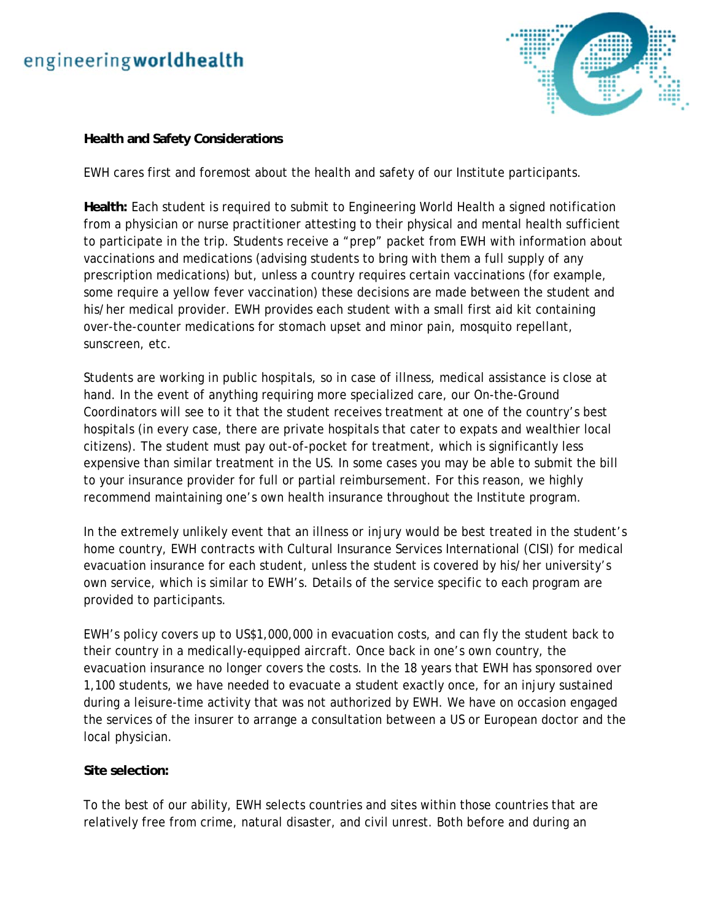# engineeringworldhealth



## **Health and Safety Considerations**

EWH cares first and foremost about the health and safety of our Institute participants.

**Health:** Each student is required to submit to Engineering World Health a signed notification from a physician or nurse practitioner attesting to their physical and mental health sufficient to participate in the trip. Students receive a "prep" packet from EWH with information about vaccinations and medications (advising students to bring with them a full supply of any prescription medications) but, unless a country requires certain vaccinations (for example, some require a yellow fever vaccination) these decisions are made between the student and his/her medical provider. EWH provides each student with a small first aid kit containing over-the-counter medications for stomach upset and minor pain, mosquito repellant, sunscreen, etc.

Students are working in public hospitals, so in case of illness, medical assistance is close at hand. In the event of anything requiring more specialized care, our On-the-Ground Coordinators will see to it that the student receives treatment at one of the country's best hospitals (in every case, there are private hospitals that cater to expats and wealthier local citizens). The student must pay out-of-pocket for treatment, which is significantly less expensive than similar treatment in the US. In some cases you may be able to submit the bill to your insurance provider for full or partial reimbursement. For this reason, we highly recommend maintaining one's own health insurance throughout the Institute program.

In the extremely unlikely event that an illness or injury would be best treated in the student's home country, EWH contracts with Cultural Insurance Services International (CISI) for medical evacuation insurance for each student, unless the student is covered by his/her university's own service, which is similar to EWH's. Details of the service specific to each program are provided to participants.

EWH's policy covers up to US\$1,000,000 in evacuation costs, and can fly the student back to their country in a medically-equipped aircraft. Once back in one's own country, the evacuation insurance no longer covers the costs. In the 18 years that EWH has sponsored over 1,100 students, we have needed to evacuate a student exactly once, for an injury sustained during a leisure-time activity that was not authorized by EWH. We have on occasion engaged the services of the insurer to arrange a consultation between a US or European doctor and the local physician.

## **Site selection:**

To the best of our ability, EWH selects countries and sites within those countries that are relatively free from crime, natural disaster, and civil unrest. Both before and during an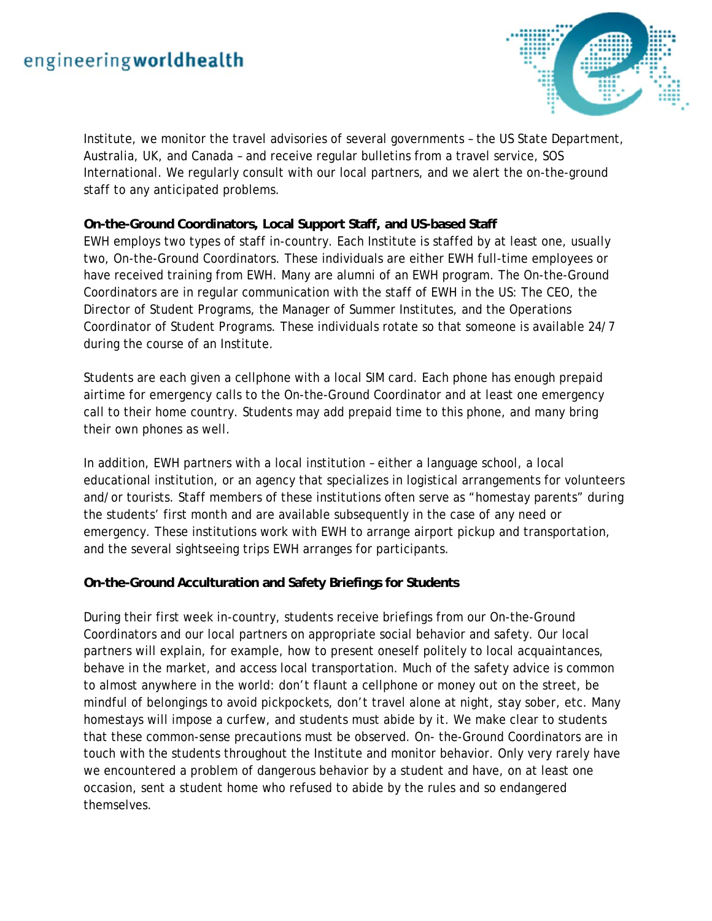

Institute, we monitor the travel advisories of several governments – the US State Department, Australia, UK, and Canada – and receive regular bulletins from a travel service, SOS International. We regularly consult with our local partners, and we alert the on-the-ground staff to any anticipated problems.

# **On-the-Ground Coordinators, Local Support Staff, and US-based Staff**

EWH employs two types of staff in-country. Each Institute is staffed by at least one, usually two, On-the-Ground Coordinators. These individuals are either EWH full-time employees or have received training from EWH. Many are alumni of an EWH program. The On-the-Ground Coordinators are in regular communication with the staff of EWH in the US: The CEO, the Director of Student Programs, the Manager of Summer Institutes, and the Operations Coordinator of Student Programs. These individuals rotate so that someone is available 24/7 during the course of an Institute.

Students are each given a cellphone with a local SIM card. Each phone has enough prepaid airtime for emergency calls to the On-the-Ground Coordinator and at least one emergency call to their home country. Students may add prepaid time to this phone, and many bring their own phones as well.

In addition, EWH partners with a local institution – either a language school, a local educational institution, or an agency that specializes in logistical arrangements for volunteers and/or tourists. Staff members of these institutions often serve as "homestay parents" during the students' first month and are available subsequently in the case of any need or emergency. These institutions work with EWH to arrange airport pickup and transportation, and the several sightseeing trips EWH arranges for participants.

## **On-the-Ground Acculturation and Safety Briefings for Students**

During their first week in-country, students receive briefings from our On-the-Ground Coordinators and our local partners on appropriate social behavior and safety. Our local partners will explain, for example, how to present oneself politely to local acquaintances, behave in the market, and access local transportation. Much of the safety advice is common to almost anywhere in the world: don't flaunt a cellphone or money out on the street, be mindful of belongings to avoid pickpockets, don't travel alone at night, stay sober, etc. Many homestays will impose a curfew, and students must abide by it. We make clear to students that these common-sense precautions must be observed. On- the-Ground Coordinators are in touch with the students throughout the Institute and monitor behavior. Only very rarely have we encountered a problem of dangerous behavior by a student and have, on at least one occasion, sent a student home who refused to abide by the rules and so endangered themselves.